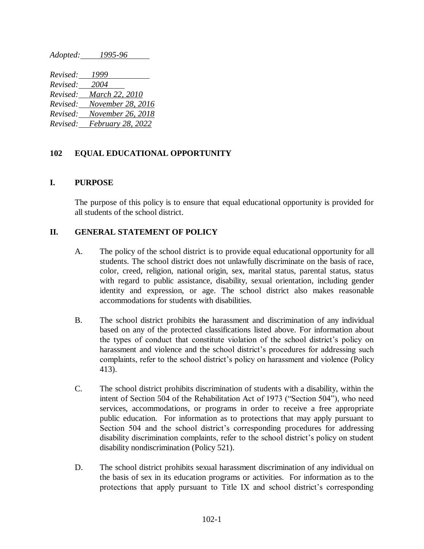*Adopted: 1995-96 Revised: 1999 Revised: 2004 Revised: March 22, 2010 Revised: November 28, 2016 Revised: November 26, 2018 Revised: February 28, 2022*

## **102 EQUAL EDUCATIONAL OPPORTUNITY**

## **I. PURPOSE**

The purpose of this policy is to ensure that equal educational opportunity is provided for all students of the school district.

## **II. GENERAL STATEMENT OF POLICY**

- A. The policy of the school district is to provide equal educational opportunity for all students. The school district does not unlawfully discriminate on the basis of race, color, creed, religion, national origin, sex, marital status, parental status, status with regard to public assistance, disability, sexual orientation, including gender identity and expression, or age. The school district also makes reasonable accommodations for students with disabilities.
- B. The school district prohibits the harassment and discrimination of any individual based on any of the protected classifications listed above. For information about the types of conduct that constitute violation of the school district's policy on harassment and violence and the school district's procedures for addressing such complaints, refer to the school district's policy on harassment and violence (Policy 413).
- C. The school district prohibits discrimination of students with a disability, within the intent of Section 504 of the Rehabilitation Act of 1973 ("Section 504"), who need services, accommodations, or programs in order to receive a free appropriate public education. For information as to protections that may apply pursuant to Section 504 and the school district's corresponding procedures for addressing disability discrimination complaints, refer to the school district's policy on student disability nondiscrimination (Policy 521).
- D. The school district prohibits sexual harassment discrimination of any individual on the basis of sex in its education programs or activities. For information as to the protections that apply pursuant to Title IX and school district's corresponding